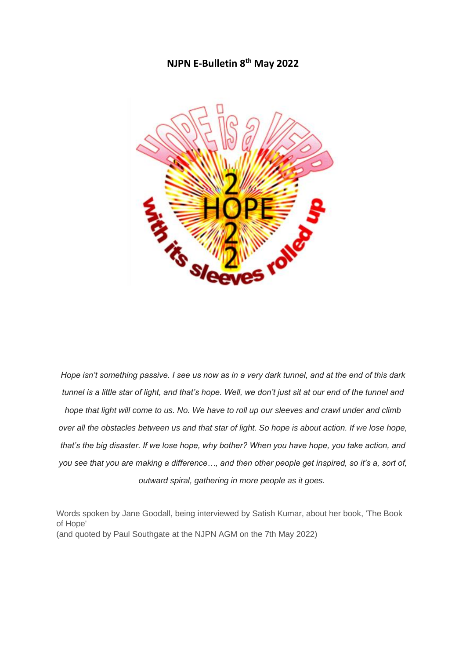### **NJPN E-Bulletin 8 th May 2022**



*Hope isn't something passive. I see us now as in a very dark tunnel, and at the end of this dark tunnel is a little star of light, and that's hope. Well, we don't just sit at our end of the tunnel and hope that light will come to us. No. We have to roll up our sleeves and crawl under and climb over all the obstacles between us and that star of light. So hope is about action. If we lose hope, that's the big disaster. If we lose hope, why bother? When you have hope, you take action, and you see that you are making a difference…, and then other people get inspired, so it's a, sort of, outward spiral, gathering in more people as it goes.*

Words spoken by Jane Goodall, being interviewed by Satish Kumar, about her book, 'The Book of Hope' (and quoted by Paul Southgate at the NJPN AGM on the 7th May 2022)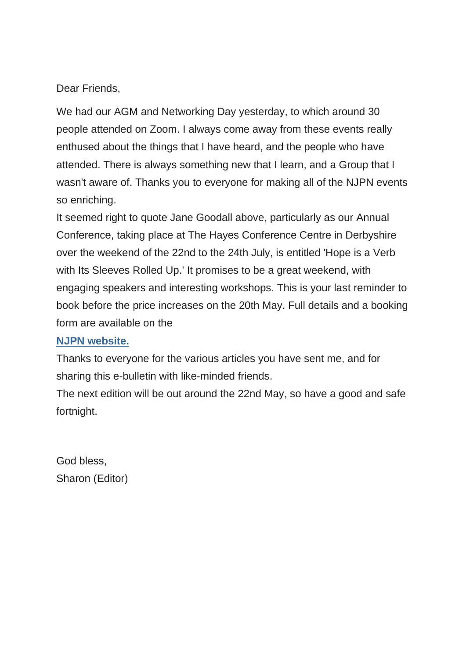Dear Friends,

We had our AGM and Networking Day yesterday, to which around 30 people attended on Zoom. I always come away from these events really enthused about the things that I have heard, and the people who have attended. There is always something new that I learn, and a Group that I wasn't aware of. Thanks you to everyone for making all of the NJPN events so enriching.

It seemed right to quote Jane Goodall above, particularly as our Annual Conference, taking place at The Hayes Conference Centre in Derbyshire over the weekend of the 22nd to the 24th July, is entitled 'Hope is a Verb with Its Sleeves Rolled Up.' It promises to be a great weekend, with engaging speakers and interesting workshops. This is your last reminder to book before the price increases on the 20th May. Full details and a booking form are available on the

### **[NJPN website.](https://justice-and-peace.us7.list-manage.com/track/click?u=43dc262537b1536e87dc04eca&id=c38966c214&e=21ab98db78)**

Thanks to everyone for the various articles you have sent me, and for sharing this e-bulletin with like-minded friends.

The next edition will be out around the 22nd May, so have a good and safe fortnight.

God bless, Sharon (Editor)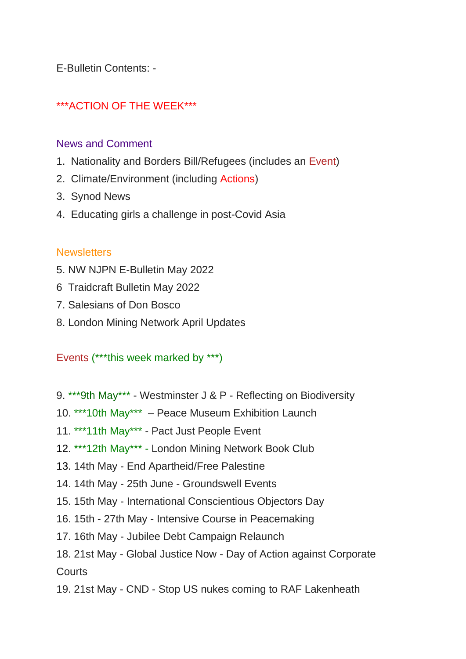E-Bulletin Contents: -

# \*\*\*ACTION OF THE WEEK\*\*\*

### News and Comment

- 1. Nationality and Borders Bill/Refugees (includes an Event)
- 2. Climate/Environment (including Actions)
- 3. Synod News
- 4. Educating girls a challenge in post-Covid Asia

#### **Newsletters**

- 5. NW NJPN E-Bulletin May 2022
- 6 Traidcraft Bulletin May 2022
- 7. Salesians of Don Bosco
- 8. London Mining Network April Updates

#### Events (\*\*\*this week marked by \*\*\*)

- 9. \*\*\*9th May\*\*\* Westminster J & P Reflecting on Biodiversity
- 10. \*\*\*10th May\*\*\* Peace Museum Exhibition Launch
- 11. \*\*\*11th May\*\*\* Pact Just People Event
- 12. \*\*\*12th May\*\*\* London Mining Network Book Club
- 13. 14th May End Apartheid/Free Palestine
- 14. 14th May 25th June Groundswell Events
- 15. 15th May International Conscientious Objectors Day
- 16. 15th 27th May Intensive Course in Peacemaking
- 17. 16th May Jubilee Debt Campaign Relaunch
- 18. 21st May Global Justice Now Day of Action against Corporate **Courts**
- 19. 21st May CND Stop US nukes coming to RAF Lakenheath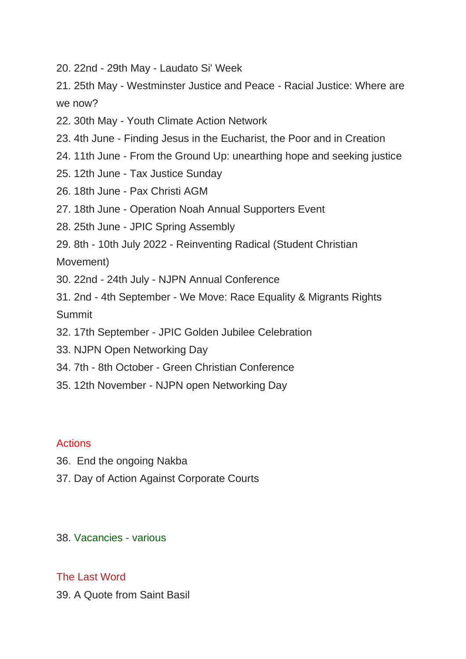20. 22nd - 29th May - Laudato Si' Week

21. 25th May - Westminster Justice and Peace - Racial Justice: Where are we now?

- 22. 30th May Youth Climate Action Network
- 23. 4th June Finding Jesus in the Eucharist, the Poor and in Creation
- 24. 11th June From the Ground Up: unearthing hope and seeking justice
- 25. 12th June Tax Justice Sunday
- 26. 18th June Pax Christi AGM
- 27. 18th June Operation Noah Annual Supporters Event
- 28. 25th June JPIC Spring Assembly
- 29. 8th 10th July 2022 Reinventing Radical (Student Christian

Movement)

- 30. 22nd 24th July NJPN Annual Conference
- 31. 2nd 4th September We Move: Race Equality & Migrants Rights Summit
- 32. 17th September JPIC Golden Jubilee Celebration
- 33. NJPN Open Networking Day
- 34. 7th 8th October Green Christian Conference
- 35. 12th November NJPN open Networking Day

#### **Actions**

- 36. End the ongoing Nakba
- 37. Day of Action Against Corporate Courts

38. Vacancies - various

#### The Last Word

39. A Quote from Saint Basil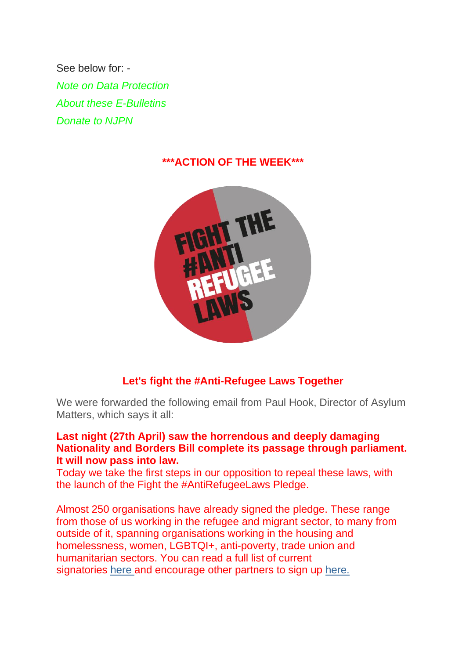See below for: - *Note on Data Protection About these E-Bulletins Donate to NJPN*

### **\*\*\*ACTION OF THE WEEK\*\*\***



## **Let's fight the #Anti-Refugee Laws Together**

We were forwarded the following email from Paul Hook, Director of Asylum Matters, which says it all:

### **Last night (27th April) saw the horrendous and deeply damaging Nationality and Borders Bill complete its passage through parliament. It will now pass into law.**

Today we take the first steps in our opposition to repeal these laws, with the launch of the Fight the #AntiRefugeeLaws Pledge.

Almost 250 organisations have already signed the pledge. These range from those of us working in the refugee and migrant sector, to many from outside of it, spanning organisations working in the housing and homelessness, women, LGBTQI+, anti-poverty, trade union and humanitarian sectors. You can read a full list of current signatories [here](https://justice-and-peace.us7.list-manage.com/track/click?u=43dc262537b1536e87dc04eca&id=c738105301&e=21ab98db78) and encourage other partners to sign up [here.](https://justice-and-peace.us7.list-manage.com/track/click?u=43dc262537b1536e87dc04eca&id=a715f10199&e=21ab98db78)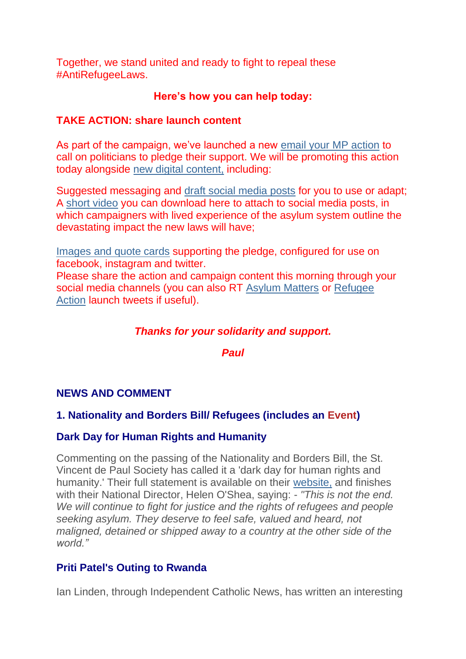Together, we stand united and ready to fight to repeal these #AntiRefugeeLaws.

## **Here's how you can help today:**

### **TAKE ACTION: share launch content**

As part of the campaign, we've launched a new [email your MP action](https://justice-and-peace.us7.list-manage.com/track/click?u=43dc262537b1536e87dc04eca&id=9bb485cf8b&e=21ab98db78) to call on politicians to pledge their support. We will be promoting this action today alongside [new digital content,](https://justice-and-peace.us7.list-manage.com/track/click?u=43dc262537b1536e87dc04eca&id=9146f039fa&e=21ab98db78) including:

Suggested messaging and [draft social media posts](https://justice-and-peace.us7.list-manage.com/track/click?u=43dc262537b1536e87dc04eca&id=dcb4f88624&e=21ab98db78) for you to use or adapt; A [short video](https://justice-and-peace.us7.list-manage.com/track/click?u=43dc262537b1536e87dc04eca&id=ea12eee1a5&e=21ab98db78) you can download here to attach to social media posts, in which campaigners with lived experience of the asylum system outline the devastating impact the new laws will have;

[Images and quote cards](https://justice-and-peace.us7.list-manage.com/track/click?u=43dc262537b1536e87dc04eca&id=6de0dfc4d7&e=21ab98db78) supporting the pledge, configured for use on facebook, instagram and twitter.

Please share the action and campaign content this morning through your social media channels (you can also RT [Asylum Matters](https://justice-and-peace.us7.list-manage.com/track/click?u=43dc262537b1536e87dc04eca&id=36808e9580&e=21ab98db78) or [Refugee](https://justice-and-peace.us7.list-manage.com/track/click?u=43dc262537b1536e87dc04eca&id=db0d1122a3&e=21ab98db78)  [Action](https://justice-and-peace.us7.list-manage.com/track/click?u=43dc262537b1536e87dc04eca&id=db0d1122a3&e=21ab98db78) launch tweets if useful).

## *Thanks for your solidarity and support.*

*Paul*

## **NEWS AND COMMENT**

### **1. Nationality and Borders Bill/ Refugees (includes an Event)**

### **Dark Day for Human Rights and Humanity**

Commenting on the passing of the Nationality and Borders Bill, the St. Vincent de Paul Society has called it a 'dark day for human rights and humanity.' Their full statement is available on their [website,](https://justice-and-peace.us7.list-manage.com/track/click?u=43dc262537b1536e87dc04eca&id=39c6339d99&e=21ab98db78) and finishes with their National Director, Helen O'Shea, saying: - *"This is not the end. We will continue to fight for justice and the rights of refugees and people seeking asylum. They deserve to feel safe, valued and heard, not maligned, detained or shipped away to a country at the other side of the world."*

### **Priti Patel's Outing to Rwanda**

Ian Linden, through Independent Catholic News, has written an interesting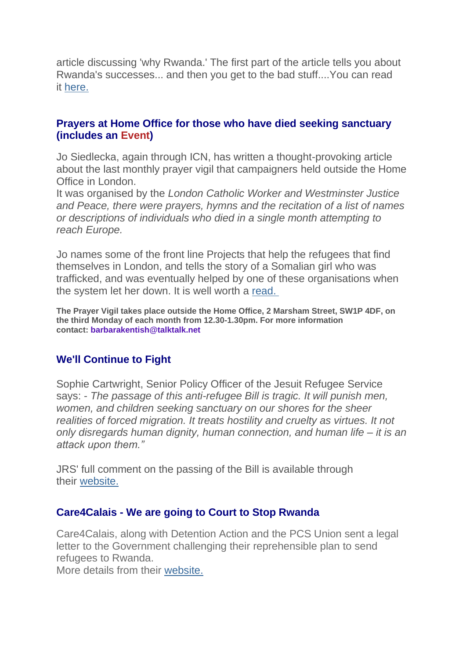article discussing 'why Rwanda.' The first part of the article tells you about Rwanda's successes... and then you get to the bad stuff....You can read it [here.](https://justice-and-peace.us7.list-manage.com/track/click?u=43dc262537b1536e87dc04eca&id=8f186f86d0&e=21ab98db78)

### **Prayers at Home Office for those who have died seeking sanctuary (includes an Event)**

Jo Siedlecka, again through ICN, has written a thought-provoking article about the last monthly prayer vigil that campaigners held outside the Home Office in London.

It was organised by the *London Catholic Worker and Westminster Justice and Peace, there were prayers, hymns and the recitation of a list of names or descriptions of individuals who died in a single month attempting to reach Europe.*

Jo names some of the front line Projects that help the refugees that find themselves in London, and tells the story of a Somalian girl who was trafficked, and was eventually helped by one of these organisations when the system let her down. It is well worth a [read.](https://justice-and-peace.us7.list-manage.com/track/click?u=43dc262537b1536e87dc04eca&id=d412e20d0f&e=21ab98db78)

**The Prayer Vigil takes place outside the Home Office, 2 Marsham Street, SW1P 4DF, on the third Monday of each month from 12.30-1.30pm. For more information contact: barbarakentish@talktalk.net**

## **We'll Continue to Fight**

Sophie Cartwright, Senior Policy Officer of the Jesuit Refugee Service says: - *The passage of this anti-refugee Bill is tragic. It will punish men, women, and children seeking sanctuary on our shores for the sheer realities of forced migration. It treats hostility and cruelty as virtues. It not only disregards human dignity, human connection, and human life – it is an attack upon them."*

JRS' full comment on the passing of the Bill is available through their [website.](https://justice-and-peace.us7.list-manage.com/track/click?u=43dc262537b1536e87dc04eca&id=58db44eb1a&e=21ab98db78)

### **Care4Calais - We are going to Court to Stop Rwanda**

Care4Calais, along with Detention Action and the PCS Union sent a legal letter to the Government challenging their reprehensible plan to send refugees to Rwanda.

More details from their [website.](https://justice-and-peace.us7.list-manage.com/track/click?u=43dc262537b1536e87dc04eca&id=d07d48c299&e=21ab98db78)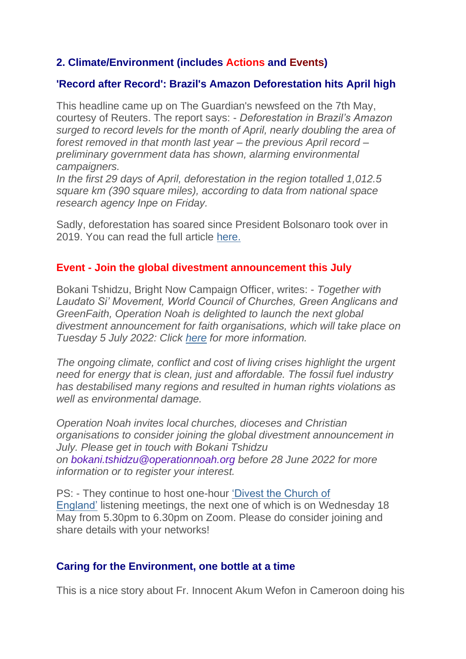## **2. Climate/Environment (includes Actions and Events)**

### **'Record after Record': Brazil's Amazon Deforestation hits April high**

This headline came up on The Guardian's newsfeed on the 7th May, courtesy of Reuters. The report says: - *Deforestation in Brazil's Amazon surged to record levels for the month of April, nearly doubling the area of forest removed in that month last year – the previous April record – preliminary government data has shown, alarming environmental campaigners.*

*In the first 29 days of April, deforestation in the region totalled 1,012.5 square km (390 square miles), according to data from national space research agency Inpe on Friday.*

Sadly, deforestation has soared since President Bolsonaro took over in 2019. You can read the full article [here.](https://justice-and-peace.us7.list-manage.com/track/click?u=43dc262537b1536e87dc04eca&id=032845a7b7&e=21ab98db78)

### **Event - Join the global divestment announcement this July**

Bokani Tshidzu, Bright Now Campaign Officer, writes: - *Together with Laudato Si' Movement, World Council of Churches, Green Anglicans and GreenFaith, Operation Noah is delighted to launch the next global divestment announcement for faith organisations, which will take place on Tuesday 5 July 2022: Click [here](https://justice-and-peace.us7.list-manage.com/track/click?u=43dc262537b1536e87dc04eca&id=8296c11866&e=21ab98db78) for more information.*

*The ongoing climate, conflict and cost of living crises highlight the urgent need for energy that is clean, just and affordable. The fossil fuel industry has destabilised many regions and resulted in human rights violations as well as environmental damage.*

*Operation Noah invites local churches, dioceses and Christian organisations to consider joining the global divestment announcement in July. Please get in touch with Bokani Tshidzu on bokani.tshidzu@operationnoah.org before 28 June 2022 for more information or to register your interest.*

PS: - They continue to host one-hour ['Divest the Church of](https://justice-and-peace.us7.list-manage.com/track/click?u=43dc262537b1536e87dc04eca&id=6962491985&e=21ab98db78)  [England'](https://justice-and-peace.us7.list-manage.com/track/click?u=43dc262537b1536e87dc04eca&id=6962491985&e=21ab98db78) listening meetings, the next one of which is on Wednesday 18 May from 5.30pm to 6.30pm on Zoom. Please do consider joining and share details with your networks!

### **Caring for the Environment, one bottle at a time**

This is a nice story about Fr. Innocent Akum Wefon in Cameroon doing his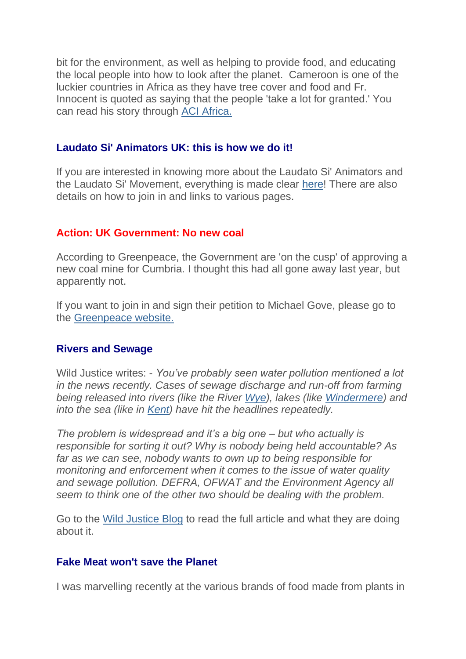bit for the environment, as well as helping to provide food, and educating the local people into how to look after the planet. Cameroon is one of the luckier countries in Africa as they have tree cover and food and Fr. Innocent is quoted as saying that the people 'take a lot for granted.' You can read his story through [ACI Africa.](https://justice-and-peace.us7.list-manage.com/track/click?u=43dc262537b1536e87dc04eca&id=4f1d501ece&e=21ab98db78)

### **Laudato Si' Animators UK: this is how we do it!**

If you are interested in knowing more about the Laudato Si' Animators and the Laudato Si' Movement, everything is made clear [here!](https://justice-and-peace.us7.list-manage.com/track/click?u=43dc262537b1536e87dc04eca&id=25f2e0b388&e=21ab98db78) There are also details on how to join in and links to various pages.

### **Action: UK Government: No new coal**

According to Greenpeace, the Government are 'on the cusp' of approving a new coal mine for Cumbria. I thought this had all gone away last year, but apparently not.

If you want to join in and sign their petition to Michael Gove, please go to the [Greenpeace website.](https://justice-and-peace.us7.list-manage.com/track/click?u=43dc262537b1536e87dc04eca&id=6df22c34df&e=21ab98db78)

#### **Rivers and Sewage**

Wild Justice writes: - *You've probably seen water pollution mentioned a lot in the news recently. Cases of sewage discharge and run-off from farming being released into rivers (like the River [Wye\)](https://justice-and-peace.us7.list-manage.com/track/click?u=43dc262537b1536e87dc04eca&id=d5758180d3&e=21ab98db78), lakes (like [Windermere\)](https://justice-and-peace.us7.list-manage.com/track/click?u=43dc262537b1536e87dc04eca&id=54eff95a80&e=21ab98db78) and into the sea (like in [Kent\)](https://justice-and-peace.us7.list-manage.com/track/click?u=43dc262537b1536e87dc04eca&id=fa90f8e3e8&e=21ab98db78) have hit the headlines repeatedly.*

*The problem is widespread and it's a big one – but who actually is responsible for sorting it out? Why is nobody being held accountable? As far as we can see, nobody wants to own up to being responsible for monitoring and enforcement when it comes to the issue of water quality and sewage pollution. DEFRA, OFWAT and the Environment Agency all seem to think one of the other two should be dealing with the problem.*

Go to the [Wild Justice Blog](https://justice-and-peace.us7.list-manage.com/track/click?u=43dc262537b1536e87dc04eca&id=5c74c8d322&e=21ab98db78) to read the full article and what they are doing about it.

#### **Fake Meat won't save the Planet**

I was marvelling recently at the various brands of food made from plants in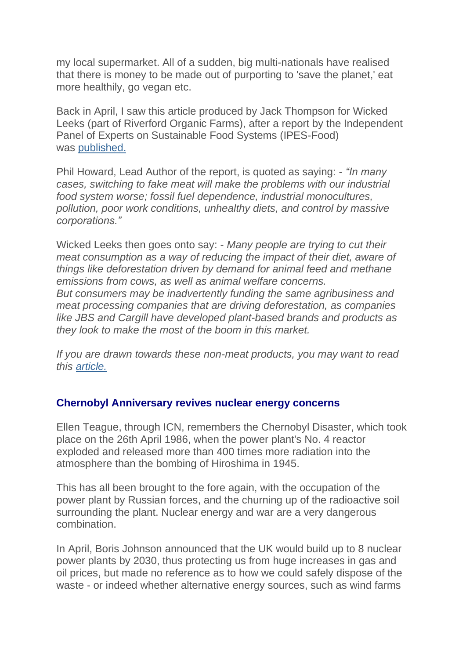my local supermarket. All of a sudden, big multi-nationals have realised that there is money to be made out of purporting to 'save the planet,' eat more healthily, go vegan etc.

Back in April, I saw this article produced by Jack Thompson for Wicked Leeks (part of Riverford Organic Farms), after a report by the Independent Panel of Experts on Sustainable Food Systems (IPES-Food) was [published.](https://justice-and-peace.us7.list-manage.com/track/click?u=43dc262537b1536e87dc04eca&id=0c75ed2759&e=21ab98db78)

Phil Howard, Lead Author of the report, is quoted as saying: - *"In many cases, switching to fake meat will make the problems with our industrial food system worse; fossil fuel dependence, industrial monocultures, pollution, poor work conditions, unhealthy diets, and control by massive corporations."*

Wicked Leeks then goes onto say: - *Many people are trying to cut their meat consumption as a way of reducing the impact of their diet, aware of things like deforestation driven by demand for animal feed and methane emissions from cows, as well as animal welfare concerns.*

*But consumers may be inadvertently funding the same agribusiness and meat processing companies that are driving deforestation, as companies like JBS and Cargill have developed plant-based brands and products as they look to make the most of the boom in this market.*

*If you are drawn towards these non-meat products, you may want to read this [article.](https://justice-and-peace.us7.list-manage.com/track/click?u=43dc262537b1536e87dc04eca&id=6882ed03c7&e=21ab98db78)*

### **Chernobyl Anniversary revives nuclear energy concerns**

Ellen Teague, through ICN, remembers the Chernobyl Disaster, which took place on the 26th April 1986, when the power plant's No. 4 reactor exploded and released more than 400 times more radiation into the atmosphere than the bombing of Hiroshima in 1945.

This has all been brought to the fore again, with the occupation of the power plant by Russian forces, and the churning up of the radioactive soil surrounding the plant. Nuclear energy and war are a very dangerous combination.

In April, Boris Johnson announced that the UK would build up to 8 nuclear power plants by 2030, thus protecting us from huge increases in gas and oil prices, but made no reference as to how we could safely dispose of the waste - or indeed whether alternative energy sources, such as wind farms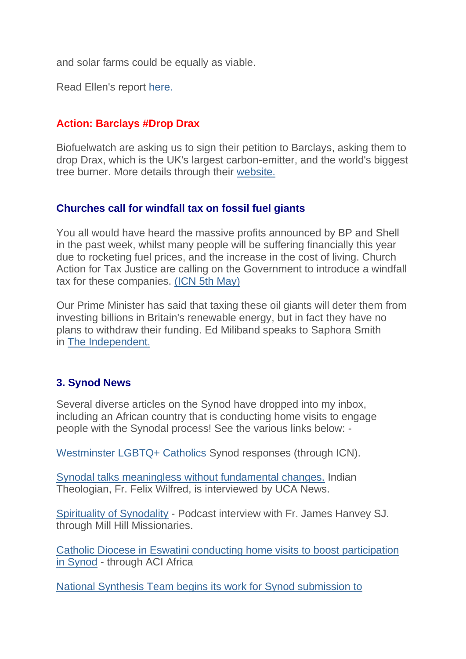and solar farms could be equally as viable.

Read Ellen's report [here.](https://justice-and-peace.us7.list-manage.com/track/click?u=43dc262537b1536e87dc04eca&id=e1e93d7ff7&e=21ab98db78)

## **Action: Barclays #Drop Drax**

Biofuelwatch are asking us to sign their petition to Barclays, asking them to drop Drax, which is the UK's largest carbon-emitter, and the world's biggest tree burner. More details through their [website.](https://justice-and-peace.us7.list-manage.com/track/click?u=43dc262537b1536e87dc04eca&id=40d2e6d341&e=21ab98db78)

## **Churches call for windfall tax on fossil fuel giants**

You all would have heard the massive profits announced by BP and Shell in the past week, whilst many people will be suffering financially this year due to rocketing fuel prices, and the increase in the cost of living. Church Action for Tax Justice are calling on the Government to introduce a windfall tax for these companies. [\(ICN 5th May\)](https://justice-and-peace.us7.list-manage.com/track/click?u=43dc262537b1536e87dc04eca&id=6312975d54&e=21ab98db78)

Our Prime Minister has said that taxing these oil giants will deter them from investing billions in Britain's renewable energy, but in fact they have no plans to withdraw their funding. Ed Miliband speaks to Saphora Smith in [The Independent.](https://justice-and-peace.us7.list-manage.com/track/click?u=43dc262537b1536e87dc04eca&id=3fabb5357f&e=21ab98db78)

## **3. Synod News**

Several diverse articles on the Synod have dropped into my inbox, including an African country that is conducting home visits to engage people with the Synodal process! See the various links below: -

[Westminster LGBTQ+ Catholics](https://justice-and-peace.us7.list-manage.com/track/click?u=43dc262537b1536e87dc04eca&id=3c90b11b79&e=21ab98db78) Synod responses (through ICN).

[Synodal talks meaningless without fundamental changes.](https://justice-and-peace.us7.list-manage.com/track/click?u=43dc262537b1536e87dc04eca&id=077bba5a09&e=21ab98db78) Indian Theologian, Fr. Felix Wilfred, is interviewed by UCA News.

[Spirituality of Synodality](https://justice-and-peace.us7.list-manage.com/track/click?u=43dc262537b1536e87dc04eca&id=fc33b78d40&e=21ab98db78) - Podcast interview with Fr. James Hanvey SJ. through Mill Hill Missionaries.

[Catholic Diocese in Eswatini conducting home visits to boost participation](https://justice-and-peace.us7.list-manage.com/track/click?u=43dc262537b1536e87dc04eca&id=131ef39760&e=21ab98db78)  [in Synod](https://justice-and-peace.us7.list-manage.com/track/click?u=43dc262537b1536e87dc04eca&id=131ef39760&e=21ab98db78) - through ACI Africa

[National Synthesis Team begins its work for Synod submission to](https://justice-and-peace.us7.list-manage.com/track/click?u=43dc262537b1536e87dc04eca&id=6c01fe31bd&e=21ab98db78)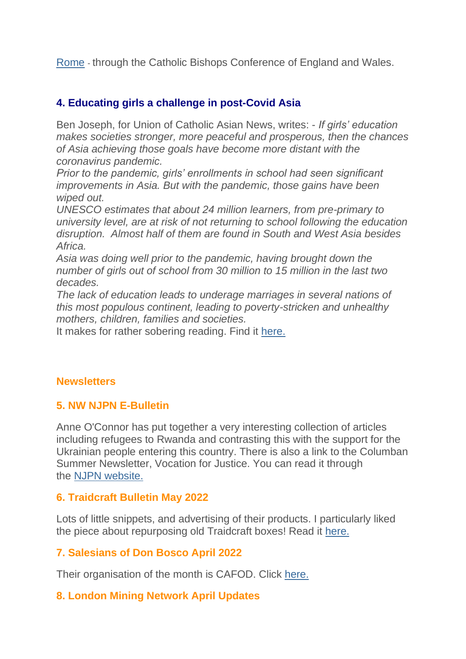[Rome](https://justice-and-peace.us7.list-manage.com/track/click?u=43dc262537b1536e87dc04eca&id=6c01fe31bd&e=21ab98db78) - through the Catholic Bishops Conference of England and Wales.

## **4. Educating girls a challenge in post-Covid Asia**

Ben Joseph, for Union of Catholic Asian News, writes: - *If girls' education makes societies stronger, more peaceful and prosperous, then the chances of Asia achieving those goals have become more distant with the coronavirus pandemic.*

*Prior to the pandemic, girls' enrollments in school had seen significant improvements in Asia. But with the pandemic, those gains have been wiped out.*

*UNESCO estimates that about 24 million learners, from pre-primary to university level, are at risk of not returning to school following the education disruption. Almost half of them are found in South and West Asia besides Africa.*

*Asia was doing well prior to the pandemic, having brought down the number of girls out of school from 30 million to 15 million in the last two decades.*

*The lack of education leads to underage marriages in several nations of this most populous continent, leading to poverty-stricken and unhealthy mothers, children, families and societies.*

It makes for rather sobering reading. Find it [here.](https://justice-and-peace.us7.list-manage.com/track/click?u=43dc262537b1536e87dc04eca&id=61a8af2f95&e=21ab98db78)

### **Newsletters**

#### **5. NW NJPN E-Bulletin**

Anne O'Connor has put together a very interesting collection of articles including refugees to Rwanda and contrasting this with the support for the Ukrainian people entering this country. There is also a link to the Columban Summer Newsletter, Vocation for Justice. You can read it through the [NJPN website.](https://justice-and-peace.us7.list-manage.com/track/click?u=43dc262537b1536e87dc04eca&id=de8324c854&e=21ab98db78)

### **6. Traidcraft Bulletin May 2022**

Lots of little snippets, and advertising of their products. I particularly liked the piece about repurposing old Traidcraft boxes! Read it [here.](https://justice-and-peace.us7.list-manage.com/track/click?u=43dc262537b1536e87dc04eca&id=5b27484c53&e=21ab98db78)

### **7. Salesians of Don Bosco April 2022**

Their organisation of the month is CAFOD. Click [here.](https://justice-and-peace.us7.list-manage.com/track/click?u=43dc262537b1536e87dc04eca&id=c5c3559fa4&e=21ab98db78)

### **8. London Mining Network April Updates**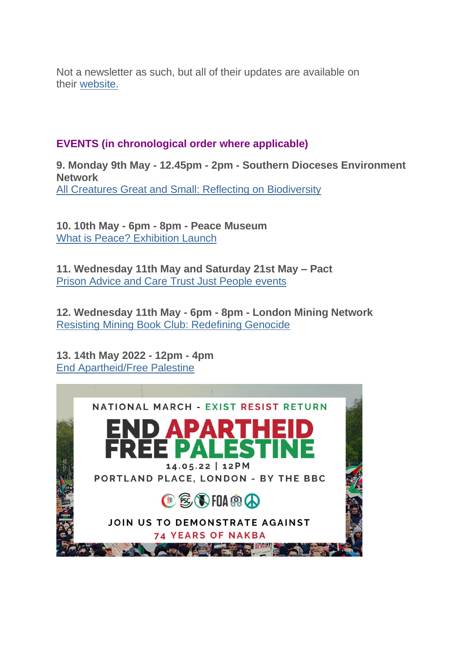Not a newsletter as such, but all of their updates are available on their [website.](https://justice-and-peace.us7.list-manage.com/track/click?u=43dc262537b1536e87dc04eca&id=2d747ea0ac&e=21ab98db78)

## **EVENTS (in chronological order where applicable)**

**9. Monday 9th May - 12.45pm - 2pm - Southern Dioceses Environment Network** [All Creatures Great and Small: Reflecting on Biodiversity](https://justice-and-peace.us7.list-manage.com/track/click?u=43dc262537b1536e87dc04eca&id=1f20310a51&e=21ab98db78)

**10. 10th May - 6pm - 8pm - Peace Museum** [What is Peace? Exhibition Launch](https://justice-and-peace.us7.list-manage.com/track/click?u=43dc262537b1536e87dc04eca&id=9f756b30db&e=21ab98db78)

**11. Wednesday 11th May and Saturday 21st May – Pact** [Prison Advice and Care Trust Just People events](https://justice-and-peace.us7.list-manage.com/track/click?u=43dc262537b1536e87dc04eca&id=014214b668&e=21ab98db78)

**12. Wednesday 11th May - 6pm - 8pm - London Mining Network** [Resisting Mining Book Club: Redefining Genocide](https://justice-and-peace.us7.list-manage.com/track/click?u=43dc262537b1536e87dc04eca&id=62bba62f0e&e=21ab98db78)

**13. 14th May 2022 - 12pm - 4pm** [End Apartheid/Free Palestine](https://justice-and-peace.us7.list-manage.com/track/click?u=43dc262537b1536e87dc04eca&id=d74b74e8a3&e=21ab98db78)

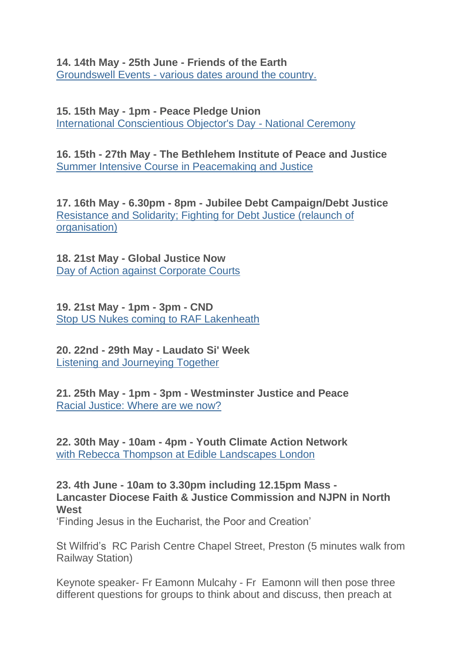**14. 14th May - 25th June - Friends of the Earth** Groundswell Events - [various dates around the country.](https://justice-and-peace.us7.list-manage.com/track/click?u=43dc262537b1536e87dc04eca&id=4b9453c7f1&e=21ab98db78)

**15. 15th May - 1pm - Peace Pledge Union** [International Conscientious Objector's Day -](https://justice-and-peace.us7.list-manage.com/track/click?u=43dc262537b1536e87dc04eca&id=50ba4de5c7&e=21ab98db78) National Ceremony

**16. 15th - 27th May - The Bethlehem Institute of Peace and Justice** [Summer Intensive Course in Peacemaking and Justice](https://justice-and-peace.us7.list-manage.com/track/click?u=43dc262537b1536e87dc04eca&id=dbca4c6b14&e=21ab98db78)

**17. 16th May - 6.30pm - 8pm - Jubilee Debt Campaign/Debt Justice** [Resistance and Solidarity; Fighting for Debt Justice \(relaunch of](https://justice-and-peace.us7.list-manage.com/track/click?u=43dc262537b1536e87dc04eca&id=4d72993150&e=21ab98db78)  [organisation\)](https://justice-and-peace.us7.list-manage.com/track/click?u=43dc262537b1536e87dc04eca&id=4d72993150&e=21ab98db78)

**18. 21st May - Global Justice Now** [Day of Action against Corporate Courts](https://justice-and-peace.us7.list-manage.com/track/click?u=43dc262537b1536e87dc04eca&id=eb941bcc35&e=21ab98db78)

**19. 21st May - 1pm - 3pm - CND** [Stop US Nukes coming to RAF Lakenheath](https://justice-and-peace.us7.list-manage.com/track/click?u=43dc262537b1536e87dc04eca&id=bac1212d2e&e=21ab98db78)

**20. 22nd - 29th May - Laudato Si' Week** [Listening and Journeying Together](https://justice-and-peace.us7.list-manage.com/track/click?u=43dc262537b1536e87dc04eca&id=da7e1be6ea&e=21ab98db78)

**21. 25th May - 1pm - 3pm - Westminster Justice and Peace** [Racial Justice: Where are we now?](https://justice-and-peace.us7.list-manage.com/track/click?u=43dc262537b1536e87dc04eca&id=339ec7549b&e=21ab98db78)

**22. 30th May - 10am - 4pm - Youth Climate Action Network** [with Rebecca Thompson at Edible Landscapes London](https://justice-and-peace.us7.list-manage.com/track/click?u=43dc262537b1536e87dc04eca&id=a90a705ba2&e=21ab98db78)

**23. 4th June - 10am to 3.30pm including 12.15pm Mass - Lancaster Diocese Faith & Justice Commission and NJPN in North West**

'Finding Jesus in the Eucharist, the Poor and Creation'

St Wilfrid's RC Parish Centre Chapel Street, Preston (5 minutes walk from Railway Station)

Keynote speaker- Fr Eamonn Mulcahy - Fr Eamonn will then pose three different questions for groups to think about and discuss, then preach at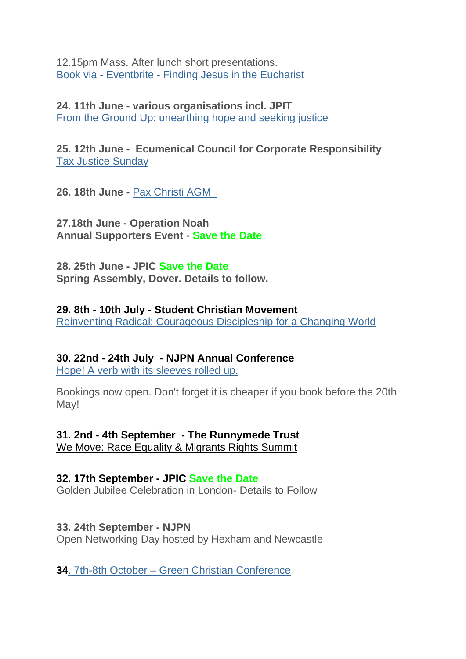12.15pm Mass. After lunch short presentations. Book via - Eventbrite - [Finding Jesus in the Eucharist](https://justice-and-peace.us7.list-manage.com/track/click?u=43dc262537b1536e87dc04eca&id=fe1ed6364c&e=21ab98db78)

**24. 11th June - various organisations incl. JPIT** [From the Ground Up: unearthing hope and seeking justice](https://justice-and-peace.us7.list-manage.com/track/click?u=43dc262537b1536e87dc04eca&id=e56cb6ba2a&e=21ab98db78)

**25. 12th June - Ecumenical Council for Corporate Responsibility** [Tax Justice Sunday](https://justice-and-peace.us7.list-manage.com/track/click?u=43dc262537b1536e87dc04eca&id=f773522c09&e=21ab98db78)

**26. 18th June -** [Pax Christi AGM](https://justice-and-peace.us7.list-manage.com/track/click?u=43dc262537b1536e87dc04eca&id=9fbbbd0917&e=21ab98db78) 

**27.18th June - Operation Noah Annual Supporters Event** - **Save the Date**

**28. 25th June - JPIC Save the Date Spring Assembly, Dover. Details to follow.**

**29. 8th - 10th July - Student Christian Movement** [Reinventing Radical: Courageous Discipleship for a Changing World](https://justice-and-peace.us7.list-manage.com/track/click?u=43dc262537b1536e87dc04eca&id=b5f482373b&e=21ab98db78)

**30. 22nd - 24th July - NJPN Annual Conference** [Hope! A verb with its sleeves rolled up.](https://justice-and-peace.us7.list-manage.com/track/click?u=43dc262537b1536e87dc04eca&id=1d1c2de2ab&e=21ab98db78)

Bookings now open. Don't forget it is cheaper if you book before the 20th May!

**31. 2nd - 4th September - The Runnymede Trust** [We Move: Race Equality & Migrants Rights Summit](https://justice-and-peace.us7.list-manage.com/track/click?u=43dc262537b1536e87dc04eca&id=705446ecf3&e=21ab98db78)

### **32. 17th September - JPIC Save the Date**

Golden Jubilee Celebration in London- Details to Follow

**33. 24th September - NJPN**

Open Networking Day hosted by Hexham and Newcastle

**34**. 7th-8th October – [Green Christian Conference](https://justice-and-peace.us7.list-manage.com/track/click?u=43dc262537b1536e87dc04eca&id=fb6bc0aecf&e=21ab98db78)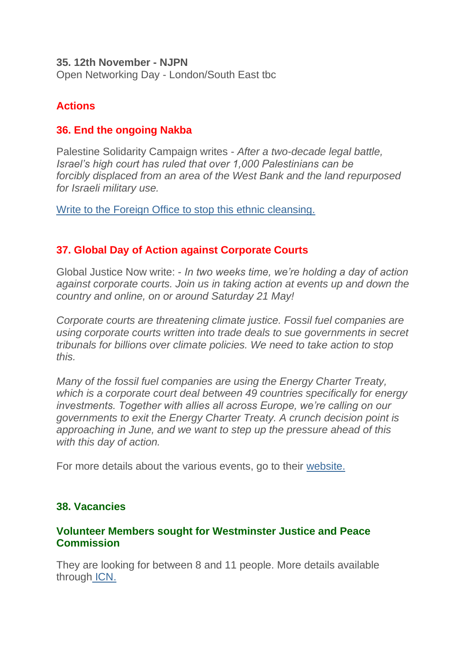#### **35. 12th November - NJPN**

Open Networking Day - London/South East tbc

# **Actions**

### **36. End the ongoing Nakba**

Palestine Solidarity Campaign writes - *After a two-decade legal battle, Israel's high court has ruled that over 1,000 Palestinians can be forcibly displaced from an area of the West Bank and the land repurposed for Israeli military use.*

[Write to the Foreign Office to stop this ethnic cleansing.](https://justice-and-peace.us7.list-manage.com/track/click?u=43dc262537b1536e87dc04eca&id=109d9891ba&e=21ab98db78)

## **37. Global Day of Action against Corporate Courts**

Global Justice Now write: - *In two weeks time, we're holding a day of action against corporate courts. Join us in taking action at events up and down the country and online, on or around Saturday 21 May!*

*Corporate courts are threatening climate justice. Fossil fuel companies are using corporate courts written into trade deals to sue governments in secret tribunals for billions over climate policies. We need to take action to stop this.*

*Many of the fossil fuel companies are using the Energy Charter Treaty, which is a corporate court deal between 49 countries specifically for energy investments. Together with allies all across Europe, we're calling on our governments to exit the Energy Charter Treaty. A crunch decision point is approaching in June, and we want to step up the pressure ahead of this with this day of action.*

For more details about the various events, go to their [website.](https://justice-and-peace.us7.list-manage.com/track/click?u=43dc262537b1536e87dc04eca&id=2d6b330f32&e=21ab98db78)

### **38. Vacancies**

### **Volunteer Members sought for Westminster Justice and Peace Commission**

They are looking for between 8 and 11 people. More details available through [ICN.](https://justice-and-peace.us7.list-manage.com/track/click?u=43dc262537b1536e87dc04eca&id=013954f6fa&e=21ab98db78)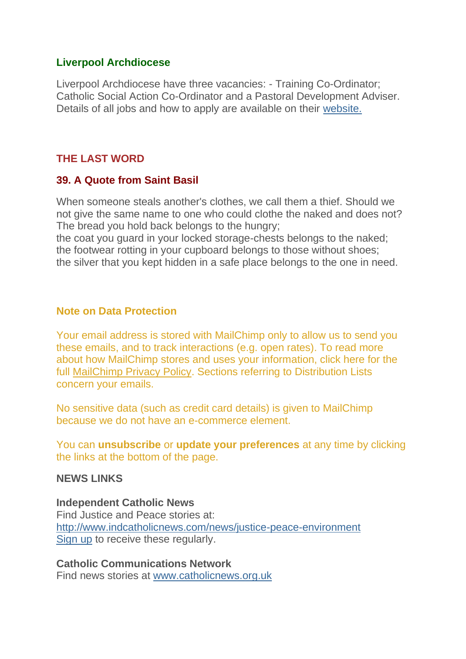### **Liverpool Archdiocese**

Liverpool Archdiocese have three vacancies: - Training Co-Ordinator; Catholic Social Action Co-Ordinator and a Pastoral Development Adviser. Details of all jobs and how to apply are available on their [website.](https://justice-and-peace.us7.list-manage.com/track/click?u=43dc262537b1536e87dc04eca&id=954f48ade3&e=21ab98db78)

### **THE LAST WORD**

### **39. A Quote from Saint Basil**

When someone steals another's clothes, we call them a thief. Should we not give the same name to one who could clothe the naked and does not? The bread you hold back belongs to the hungry;

the coat you guard in your locked storage-chests belongs to the naked; the footwear rotting in your cupboard belongs to those without shoes; the silver that you kept hidden in a safe place belongs to the one in need.

### **Note on Data Protection**

Your email address is stored with MailChimp only to allow us to send you these emails, and to track interactions (e.g. open rates). To read more about how MailChimp stores and uses your information, click here for the full [MailChimp Privacy Policy.](https://justice-and-peace.us7.list-manage.com/track/click?u=43dc262537b1536e87dc04eca&id=b12093f926&e=21ab98db78) Sections referring to Distribution Lists concern your emails.

No sensitive data (such as credit card details) is given to MailChimp because we do not have an e-commerce element.

You can **unsubscribe** or **update your preferences** at any time by clicking the links at the bottom of the page.

#### **NEWS LINKS**

**Independent Catholic News** Find Justice and Peace stories at: [http://www.indcatholicnews.com/news/justice-peace-environment](https://justice-and-peace.us7.list-manage.com/track/click?u=43dc262537b1536e87dc04eca&id=571733aaa1&e=21ab98db78) [Sign up](https://justice-and-peace.us7.list-manage.com/track/click?u=43dc262537b1536e87dc04eca&id=cb98e33d01&e=21ab98db78) to receive these regularly.

**Catholic Communications Network** Find news stories at [www.catholicnews.org.uk](https://justice-and-peace.us7.list-manage.com/track/click?u=43dc262537b1536e87dc04eca&id=0a18a7eaf3&e=21ab98db78)